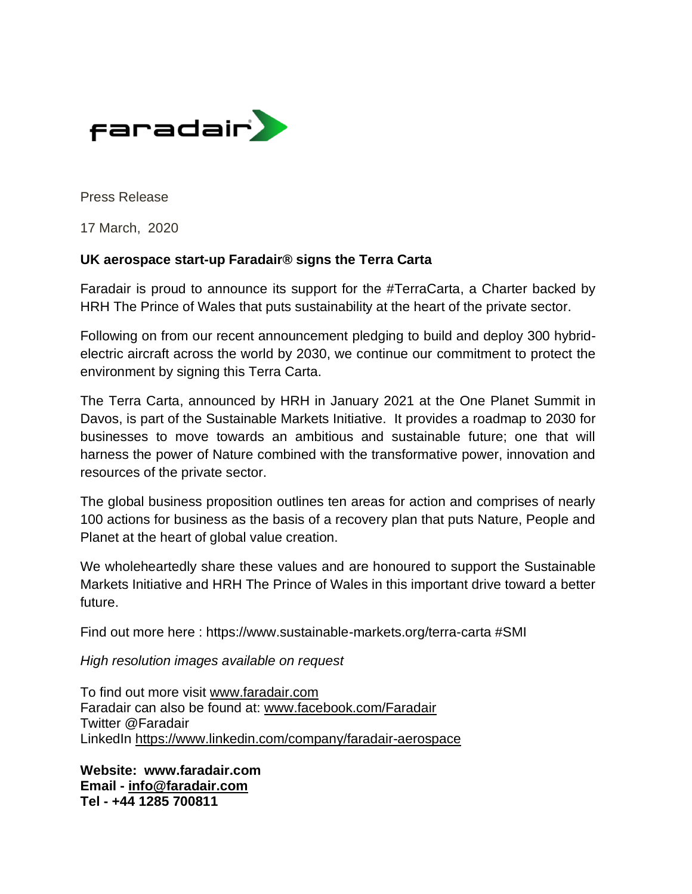

Press Release

17 March, 2020

## **UK aerospace start-up Faradair® signs the Terra Carta**

Faradair is proud to announce its support for the #TerraCarta, a Charter backed by HRH The Prince of Wales that puts sustainability at the heart of the private sector.

Following on from our recent announcement pledging to build and deploy 300 hybridelectric aircraft across the world by 2030, we continue our commitment to protect the environment by signing this Terra Carta.

The Terra Carta, announced by HRH in January 2021 at the One Planet Summit in Davos, is part of the Sustainable Markets Initiative. It provides a roadmap to 2030 for businesses to move towards an ambitious and sustainable future; one that will harness the power of Nature combined with the transformative power, innovation and resources of the private sector.

The global business proposition outlines ten areas for action and comprises of nearly 100 actions for business as the basis of a recovery plan that puts Nature, People and Planet at the heart of global value creation.

We wholeheartedly share these values and are honoured to support the Sustainable Markets Initiative and HRH The Prince of Wales in this important drive toward a better future.

Find out more here : https://www.sustainable-markets.org/terra-carta #SMI

*High resolution images available on request*

To find out more visit [www.faradair.com](http://www.faradair.com/) Faradair can also be found at: [www.facebook.com/Faradair](http://www.facebook.com/Faradair) Twitter @Faradair LinkedIn<https://www.linkedin.com/company/faradair-aerospace>

**Website: www.faradair.com Email - [info@faradair.com](mailto:info@faradair.com) Tel - +44 1285 700811**